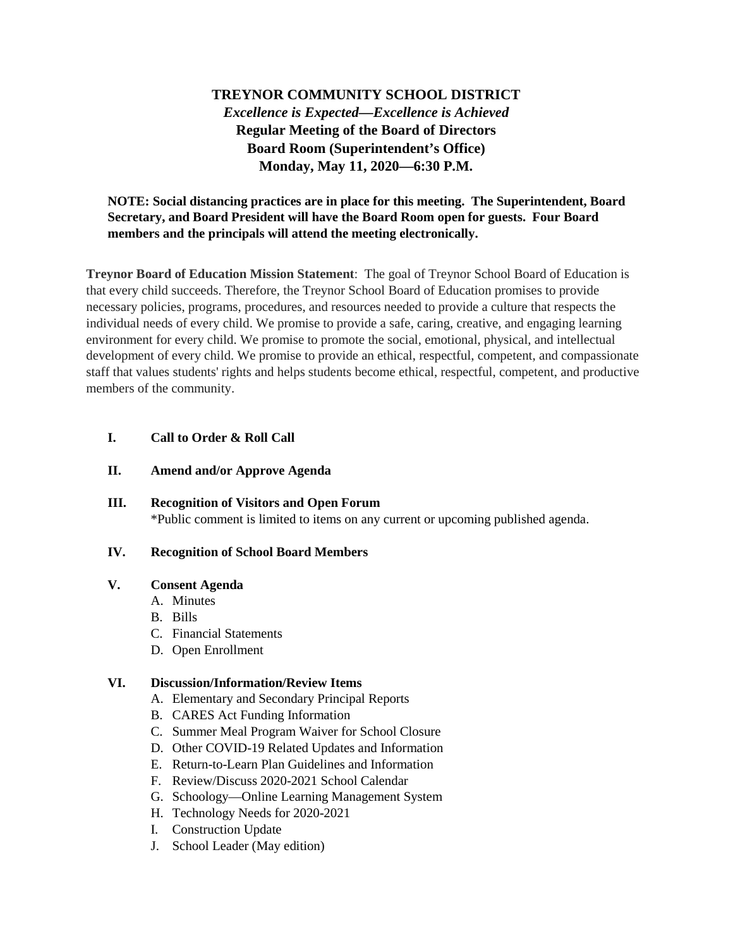# **TREYNOR COMMUNITY SCHOOL DISTRICT** *Excellence is Expected—Excellence is Achieved* **Regular Meeting of the Board of Directors Board Room (Superintendent's Office) Monday, May 11, 2020—6:30 P.M.**

### **NOTE: Social distancing practices are in place for this meeting. The Superintendent, Board Secretary, and Board President will have the Board Room open for guests. Four Board members and the principals will attend the meeting electronically.**

**Treynor Board of Education Mission Statement**: The goal of Treynor School Board of Education is that every child succeeds. Therefore, the Treynor School Board of Education promises to provide necessary policies, programs, procedures, and resources needed to provide a culture that respects the individual needs of every child. We promise to provide a safe, caring, creative, and engaging learning environment for every child. We promise to promote the social, emotional, physical, and intellectual development of every child. We promise to provide an ethical, respectful, competent, and compassionate staff that values students' rights and helps students become ethical, respectful, competent, and productive members of the community.

### **I. Call to Order & Roll Call**

### **II. Amend and/or Approve Agenda**

**III. Recognition of Visitors and Open Forum** \*Public comment is limited to items on any current or upcoming published agenda.

#### **IV. Recognition of School Board Members**

#### **V. Consent Agenda**

- A. Minutes
- B. Bills
- C. Financial Statements
- D. Open Enrollment

#### **VI. Discussion/Information/Review Items**

- A. Elementary and Secondary Principal Reports
- B. CARES Act Funding Information
- C. Summer Meal Program Waiver for School Closure
- D. Other COVID-19 Related Updates and Information
- E. Return-to-Learn Plan Guidelines and Information
- F. Review/Discuss 2020-2021 School Calendar
- G. Schoology—Online Learning Management System
- H. Technology Needs for 2020-2021
- I. Construction Update
- J. School Leader (May edition)